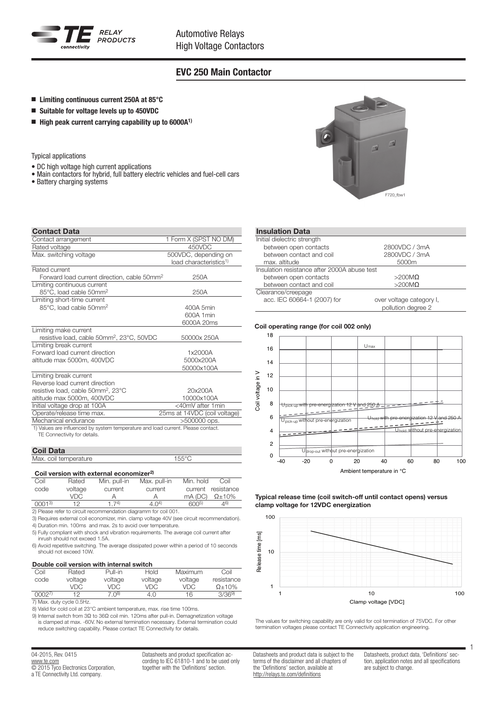

## EVC 250 Main Contactor

- Limiting continuous current 250A at 85 $^{\circ}$ C
- $\blacksquare$  Suitable for voltage levels up to 450VDC
- $\blacksquare$  High peak current carrying capability up to 6000A<sup>1)</sup>

Typical applications

- DC high voltage high current applications
- Main contactors for hybrid, full battery electric vehicles and fuel-cell cars
- Battery charging systems

| <b>Contact Data</b>                                                                                              |                                                            |
|------------------------------------------------------------------------------------------------------------------|------------------------------------------------------------|
| Contact arrangement                                                                                              | 1 Form X (SPST NO DM)                                      |
| Rated voltage                                                                                                    | 450VDC                                                     |
| Max. switching voltage                                                                                           | 500VDC, depending on<br>load characteristics <sup>1)</sup> |
| Rated current                                                                                                    |                                                            |
| Forward load current direction, cable 50mm <sup>2</sup>                                                          | 250A                                                       |
| Limiting continuous current                                                                                      |                                                            |
| 85°C, load cable 50mm <sup>2</sup>                                                                               | 250A                                                       |
| Limiting short-time current                                                                                      |                                                            |
| 85°C, load cable 50mm <sup>2</sup>                                                                               | 400A 5min                                                  |
|                                                                                                                  | 600A 1 min                                                 |
|                                                                                                                  | 6000A 20ms                                                 |
| Limiting make current                                                                                            |                                                            |
| resistive load, cable 50mm <sup>2</sup> , 23°C, 50VDC                                                            | 50000x 250A                                                |
| Limiting break current                                                                                           |                                                            |
| Forward load current direction                                                                                   | 1x2000A                                                    |
| altitude max 5000m, 400VDC                                                                                       | 5000x200A                                                  |
|                                                                                                                  | 50000x100A                                                 |
| Limiting break current                                                                                           |                                                            |
| Reverse load current direction                                                                                   |                                                            |
| resistive load, cable 50mm <sup>2</sup> , 23°C                                                                   | 20x200A                                                    |
| altitude max 5000m, 400VDC                                                                                       | 10000x100A                                                 |
| Initial voltage drop at 100A                                                                                     | <40mV after 1min                                           |
| Operate/release time max.                                                                                        | 25ms at 14VDC (coil voltage)                               |
| Mechanical endurance                                                                                             | $>500000$ ops.                                             |
| 1) Values are influenced by system temperature and load current. Please contact.<br>TE Connectivity for details. |                                                            |

### Coil Data

| Max. coil temperature | $\rightarrow$ $\rightarrow$ $\rightarrow$ $\rightarrow$ $\rightarrow$ $\rightarrow$ |
|-----------------------|-------------------------------------------------------------------------------------|
|                       |                                                                                     |

### Coil version with external economizer<sup>2)</sup>

| Coil          | Rated   | Min. pull-in | Max. pull-in      | Min. hold         | Coil               |
|---------------|---------|--------------|-------------------|-------------------|--------------------|
| code          | voltage | current      | current           |                   | current resistance |
|               | VDC.    |              |                   | mA(DC)            | $\Omega \pm 10\%$  |
| 00013         | 1つ      | 174          | 4.0 <sup>4)</sup> | 600 <sup>5)</sup> | 46)                |
| $\sim$ $\sim$ |         |              |                   |                   |                    |

2) Please refer to circuit recommendation diagramm for coil 001. 3) Requires external coil economizer, min. clamp voltage 40V (see circuit recommendation).

4) Duration min. 100ms and max. 2s to avoid over temperature.

5) Fully compliant with shock and vibration requirements. The average coil current after inrush should not exceed 1.5A.

6) Avoid repetitive switching. The average dissipated power within a period of 10 seconds should not exceed 10W.

#### Double coil version with internal switch

| Coil  | Rated   | $PU$ ll-in | Hold    | Maximum | Coil          |
|-------|---------|------------|---------|---------|---------------|
| code  | voltage | voltage    | voltage | voltage | resistance    |
|       | VDC.    | VDC.       | VDC.    | VDC.    | $\Omega$ +10% |
| 00027 | 12      | 7(08)      | 4.0     | 16      | 3/369         |

7) Max. duty cycle 0.5Hz.

8) Valid for cold coil at 23°C ambient temperature, max. rise time 100ms.

9) Internal switch from 3Ω to 36Ω coil min. 120ms after pull-in. Demagnetization voltage is clamped at max. -60V. No external termination necessary. External termination could reduce switching capability. Please contact TE Connectivity for details.

04-2015, Rev. 0415 www.te.com © 2015 Tyco Electronics Corporation, a TE Connectivity Ltd. company.

Datasheets and product specification according to IEC 61810-1 and to be used only together with the 'Definitions' section.



#### Insulation Data

| Initial dielectric strength                  |                          |  |
|----------------------------------------------|--------------------------|--|
| between open contacts                        | 2800VDC / 3mA            |  |
| between contact and coil                     | 2800VDC / 3mA            |  |
| max. altitude                                | 5000m                    |  |
| Insulation resistance after 2000A abuse test |                          |  |
| between open contacts                        | $>200M\Omega$            |  |
| between contact and coil                     | $>200M\Omega$            |  |
| Clearance/creepage                           |                          |  |
| acc. IEC 60664-1 (2007) for                  | over voltage category I, |  |
|                                              | pollution degree 2       |  |

#### Coil operating range (for coil 002 only)



Typical release time (coil switch-off until contact opens) versus clamp voltage for 12VDC energization



The values for switching capability are only valid for coil termination of 75VDC. For other termination voltages please contact TE Connectivity application engineering.

Datasheets and product data is subject to the terms of the disclaimer and all chapters of the 'Definitions' section, available at http://relays.te.com/definitions

Datasheets, product data, 'Definitions' section, application notes and all specifications are subject to change.

1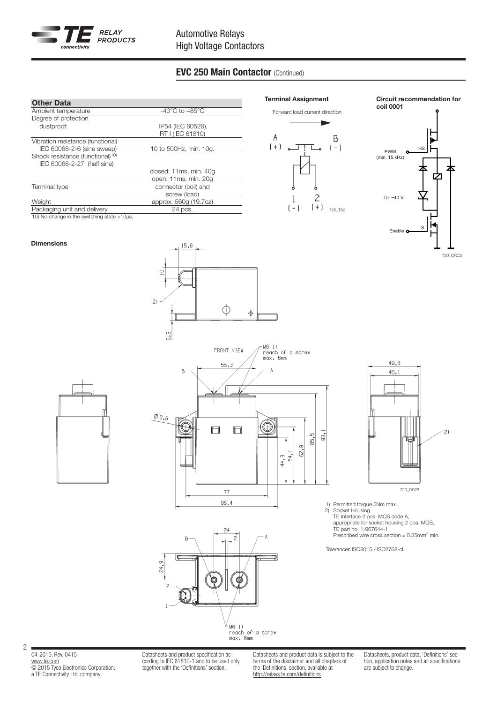

# EVC 250 Main Contactor (Continued)

| <b>Other Data</b>                            |                                      |
|----------------------------------------------|--------------------------------------|
| Ambient temperature                          | -40 $^{\circ}$ C to +85 $^{\circ}$ C |
| Degree of protection                         |                                      |
| dustproof:                                   | IP54 (IEC 60529),                    |
|                                              | RT I (IEC 61810)                     |
| Vibration resistance (functional)            |                                      |
| IEC 60068-2-6 (sine sweep)                   | 10 to 500Hz, min. 10g.               |
| Shock resistance (functional) <sup>10)</sup> |                                      |
| IEC 60068-2-27 (half sine)                   |                                      |
|                                              | closed: 11ms, min. 40g               |
|                                              | open: 11ms, min. 20g                 |
| Terminal type                                | connector (coil) and                 |
|                                              | screw (load)                         |
| Weight                                       | approx. 560g (19.7oz)                |
| Packaging unit and delivery                  | 24 pcs.                              |
| 10) No change in the switching state >10µs.  |                                      |

 $15,6$ 

 $\subseteq$ 

 $2)$ 



Circuit recommendation for coil 0001



720\_CRC2



Dimensions



⊕

╬



1) Permitted torque 5Nm max. 2) Socket Housing

TE Interface 2 pos. MQS code A, appropriate for socket housing 2 pos. MQS, TE part no. 1-967644-1 Prescribed wire cross section = 0.35mm2 min.

Tolerances ISO8015 / ISO2768-cL



04-2015, Rev. 0415 www.te.com © 2015 Tyco Electronics Corporation, a TE Connectivity Ltd. company.

2

Datasheets and product specification according to IEC 61810-1 and to be used only together with the 'Definitions' section.

Datasheets and product data is subject to the terms of the disclaimer and all chapters of the 'Definitions' section, available at http://relays.te.com/definitions

Datasheets, product data, 'Definitions' section, application notes and all specifications are subject to change.